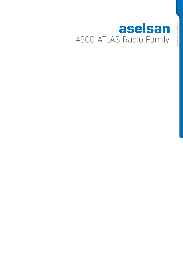# aselsan 4900 ATLAS Radio Family

www.aselsan.com.tr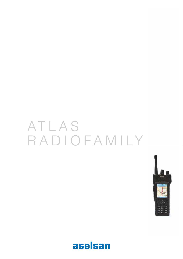# ATLAS RADIOFAMILY



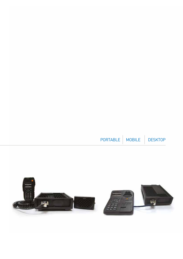

| PORTABLE   MOBILE | <b>DESKTOP</b> |
|-------------------|----------------|
|                   |                |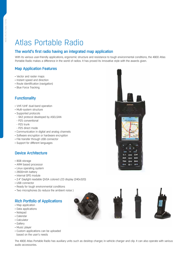# Atlas Portable Radio

# The world's first radio having an integrated map application

With its various user-friendly applications, ergonomic structure and resistance to tough environmental conditions, the 4900 Atlas Portable Radio makes a difference in the world of radios. It has proved its innovative style with the awards given.

# Map Application Features

- • Vector and raster maps
- • Instant speed and direction
- Route identification (navigation)
- Blue Force Tracking

# **Functionality**

- • VHF/UHF dual-band operation
- • Multi-system structure
- • Supported protocols
- SK2 protocol developed by ASELSAN
- P25 conventional
- P25 trunk
- P25 direct mode
- • Communication in digital and analog channels
- Software encryption or hardware encryption
- File transfer through USB connector
- • Support for different languages

#### Device Architecture

- • 8GB storage
- • ARM based processor
- Linux operating system
- 2600mAh battery
- Internal GPS module
- • 2.4" Daylight readable QVGA colored LCD display (240x320)
- • USB connector
- Ready for tough environmental conditions
- Two microphones (to reduce the ambient noise)

# Rich Portfolio of Applications

- Map application
- Data applications
- • Notepad
- • Calendar
- • Calculator
- • Gallery
- Music player
- • Custom applications can be uploaded based on the user's needs







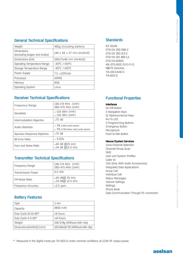| Weight                                            | 490g (including battery) |
|---------------------------------------------------|--------------------------|
| <b>Dimensions</b><br>(excluding bulges and knobs) | 149 x 56 x 37 mm (HxWxD) |
| Dimensions (EIA)                                  | 168x71x46 mm (HxWxD)     |
| Operating Temperature Range                       | -30°C /+60°C             |
| Storage Temperature Range                         | -40°C /+85°C             |
| Power Supply                                      | $7.5 \pm 20\%$ Vdc       |
| Processor                                         | ARM9                     |
| Memory                                            | 8GB                      |
| <b>Operating System</b>                           | Linux                    |
|                                                   |                          |

# Receiver Technical Specifications

| Frequency Range             | 136-174 MHz (VHF)<br>380-470 MHz (UHF)                                    |
|-----------------------------|---------------------------------------------------------------------------|
| Sensitivity                 | $\le$ -119 dBm (VHF)<br>$\le$ -118 dBm (UHF)                              |
| Intermodulation Rejection   | ≥70 dB                                                                    |
| Audio Distortion            | $\leq$ 5% (rated audio power)<br>$\leq$ 5% (17dB below rated audio power) |
| Spurious Response Rejection | $>70$ dB                                                                  |
| <b>Bit Error Ratio</b>      | $\leq 0.01\%$                                                             |
| Hum and Noise Ratio         | $\geq$ 40 dB @25 kHz<br>≥34 dB @12.5 kHz                                  |

# Transmitter Technical Specifications

| Frequency Range           | 136-174 MHz (VHF)<br>380-470 MHz (UHF)                 |
|---------------------------|--------------------------------------------------------|
| <b>Transmission Power</b> | $0.2 - 5W$                                             |
| FM Noise Ratio            | $\geq$ 40 dB $\overline{0}$ 25 kHz<br>≥34 dB@ 12.5 kHz |
| Frequency Accuracy        | $\leq$ 2.5 ppm                                         |

# Battery Features

| Type                   | Li-Ion                           |
|------------------------|----------------------------------|
| Capacity               | 2600 mAh                         |
| Duty Cycle 10-10-80*   | >8 hours                         |
| Duty Cycle 5-5-90*     | $>14$ hours                      |
| Weight                 | 158/179g (Without/with clip)     |
| Dimensions(HxWxD) (mm) | 122x56x19/30 (Without/with clip) |

# **Standards**

IEC 61149 ETSI EN 300 086-2 ETSI EN 300 113-2 ETSI EN 301 489-1,5 ETSI EN 60950 MIL-STD-810C/D/E/F/G R&TTE Directive TIA-102.CAAB-D TIA-603-D

# Functional Properties

#### **Interfaces**

On/Off Button 5 Navigation Keys 12 Alphanumerical Keys Rx/Tx LED 2 Programming Buttons Emergency Button Microphone Push-to-Talk Button

#### **Menus/System Services**

Zone/Channel Selection Channel/Group Scan SMS User and System Profiles Caller ID VOX (Only With Audio Accessories) Integrated Data Applications Group Call Individual Call Status Messages Volume Settings **Settings** Phone Book Data Communication Through PC connection 4900 ATLAS Radio Family

\* : Measured in the digital mode per TIA 603-D under nominal conditions at 5.0W RF output power.

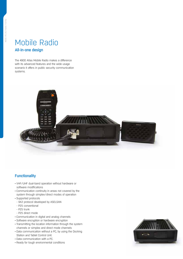# Mobile Radio All-in-one design

The 4900 Atlas Mobile Radio makes a difference with its advanced features and the wide usage scenario it offers in public security communication systems.



# **Functionality**

- VHF/UHF dual-band operation without hardware or software modifications
- Communication continuity in areas not covered by the system through simplex/direct modes of operation
- Supported protocols
- SK2 protocol developed by ASELSAN
- P25 conventional
- P25 trunk
- P25 direct mode
- Communication in digital and analog channels
- Software encryption or hardware encryption
- Transmitting the location information through the system channels or simplex and direct mode channels
- Data communication without a PC, by using the Docking Station and Tablet Control Unit.
- Data communication with a PC.
- Ready for tough environmental conditions

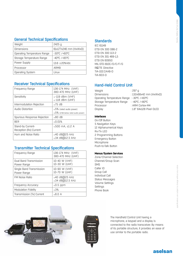### General Technical Specifications

| Weight                      | 2425 g                |
|-----------------------------|-----------------------|
| <b>Dimensions</b>           | 61x177x246 mm (HxWxD) |
| Operating Temperature Range | -30°C /+60°C          |
| Storage Temperature Range   | -40°C /+85°C          |
| Power Supply                | 13.6 ±20%Vdc          |
| Processor                   | ARM9                  |
| <b>Operating System</b>     | l inux                |

# Receiver Technical Specifications

| Frequency Range                             | 136-174 MHz (VHF)<br>380-470 MHz (UHF)                                    |
|---------------------------------------------|---------------------------------------------------------------------------|
| Sensitivity                                 | $\le$ -119 dBm (VHF)<br>$\le$ -118 dBm (UHF)                              |
| Intermodulation Rejection                   | $\geq 75$ dB                                                              |
| Audio Distortion                            | $\leq$ 5% (rated audio power)<br>$\leq$ 5% (17dB below rated audio power) |
| Spurious Response Rejection                 | $>80$ dB                                                                  |
| <b>BER</b>                                  | $\leq 0.01\%$                                                             |
| Stand-by Current-<br>Reception (Rx) Current | ≤500 mA, ≤1.2 A                                                           |
| Hum and Noise Ratio                         | $\geq 40$ dB@25 kHz<br>≥34 dB@12.5 kHz                                    |

# Transmitter Technical Specifications

| Frequency Range                         | 136-174 MHz (VHF)<br>380-470 MHz (UHF)     |
|-----------------------------------------|--------------------------------------------|
| Dual Band Transmission<br>Power Range   | 10-40 W (VHF)<br>10-30 W (UHF)             |
| Single Band Transmission<br>Power Range | 10-90 W (VHF)<br>10-70 W (UHF)             |
| FM Noise Ratio                          | $\geq 40$ dB $[025$ kHz<br>≥34 dB@12.5 kHz |
| Frequency Accuracy                      | ≤0.5 ppm                                   |
| <b>Modulation Fidelity</b>              | $\leq 3\%$                                 |
| Transmission (Tx) Current               | $\leq$ 8.0 A                               |

#### **Standards**

IEC 61149 ETSI EN 300 086-2 ETSI EN 300 113-2 ETSI EN 301 489-1,5 ETSI EN 60950 MIL-STD-810C/D/E/F/G R&TTE Directive TIA-102.CAAB-D TIA-603-D

# Hand-Held Control Unit

| Weight                                    | : 297 q                           |
|-------------------------------------------|-----------------------------------|
| <b>Dimensions</b>                         | $:132\times68\times42$ mm (HxWxD) |
| Operating Temperature Range: -30°C /+60°C |                                   |
| Storage Temperature Range                 | :-40°C /+80°C                     |
| Processor                                 | : ARM Cortex-M4                   |
| Display                                   | $:1.8"$ 64x128 Pixel OLED         |

#### **Interfaces**

On/Off Button 5 Navigation Keys 12 Alphanumerical Keys Rx/Tx LED 2 Programming Buttons Emergency Button Microphone Push-to-Talk Button

#### **Menus/System Services**

Zone/Channel Selection Channel/Group Scan SMS Caller ID Group Call Individual Call Status Messages Volume Settings Settings Phone Book



The Handheld Control Unit having a microphone, a keypad and a display is connected to the radio transceiver. By means of its portable structure, it provides an ease of use similar to the portable radio.

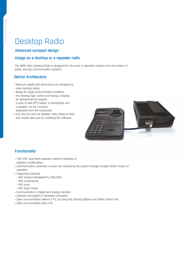# Desktop Radio

# Advanced compact design

### Usage as a desktop or a repeater radio

The 4900 Atlas Desktop Radio is designed for the users in operation centers and call centers of public security communication systems.

#### Device Architecture

- • Reduced weight and dimensions as compared to other desktop radios
- Ready for tough environmental conditions
- The desktop type control unit having a display, an alphanumerical keypad, a push-to-talk (PTT) button, a microphone and a speaker can be mounted separately from the transceiver
- • Can also be used as repeater radio (relay) at fixed and mobile sites just by modifying the software.



# **Functionality**

- • VHF/UHF dual-band operation without hardware or software modifications
- • Communication continuity in areas not covered by the system through simplex/direct modes of operation
- • Supported protocols
- SK2 protocol developed by ASELSAN
- P25 conventional
- P25 trunk
- P25 direct mode
- • Communication in digital and analog channels
- Software encryption or hardware encryption
- Data communication without a PC, by using the Docking Station and Tablet Control Unit
- • Data communication with a PC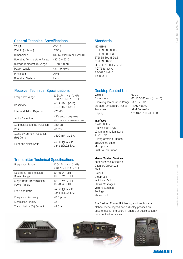### General Technical Specifications

| Weight                      | 2425 g                   |
|-----------------------------|--------------------------|
| Weight (with fan)           | 2495 a                   |
| <b>Dimensions</b>           | 61x 177 x 246 mm (HxWxD) |
| Operating Temperature Range | -30°C /+60°C             |
| Storage Temperature Range   | -40°C /+85°C             |
| Power Supply                | $13.6 \pm 20\%$ Vdc      |
| Processor                   | ARM9                     |
| <b>Operating System</b>     | Linux                    |

# Receiver Technical Specifications

| Frequency Range                            | 136-174 MHz (VHF)<br>380-470 MHz (UHF)                                    |
|--------------------------------------------|---------------------------------------------------------------------------|
| Sensitivity                                | $\le$ -119 dBm (VHF)<br>$\le$ -118 dBm (UHF)                              |
| Intermodulation Rejection                  | $>75$ dB                                                                  |
| Audio Distortion                           | $\leq$ 5% (rated audio power)<br>$\leq$ 5% (17dB below rated audio power) |
| Spurious Response Rejection                | $>80$ dB                                                                  |
| BER                                        | < 0.01%                                                                   |
| Stand-by Current-Reception<br>(Rx) Current | ≤500 mA. ≤1.2 A                                                           |
| Hum and Noise Ratio                        | ≥40 dB@25 kHz<br>$\geq$ 34 dB $\textcircled{12.5}$ kHz                    |

# Transmitter Technical Specifications

| Frequency Range                         | 136-174 MHz (VHF)<br>380-470 MHz (UHF)                |
|-----------------------------------------|-------------------------------------------------------|
| Dual Band Transmission<br>Power Range   | 10-40 W (VHF)<br>10-30 W (UHF)                        |
| Single Band Transmission<br>Power Range | 10-90 W (VHF)<br>10-70 W (UHF)                        |
| <b>FM Noise Ratio</b>                   | $\geq$ 40 dB $\overline{0}$ 25 kHz<br>≥34 dB@12.5 kHz |
| Frequency Accuracy                      | ≤0.5 ppm                                              |
| Modulation Fidelity                     | $\leq 3\%$                                            |
| Transmission (Tx) Current               | $\leq 8.0$ A                                          |

### **Standards**

IEC 61149 ETSI EN 300 086-2 ETSI EN 300 113-2 ETSI EN 301 489-1,5 ETSI EN 60950 MIL-STD-810C/D/E/F/G R&TTE Directive TIA-102.CAAB-D TIA-603-D

# Desktop Control Unit

| Weight                                    | : 600 a                   |
|-------------------------------------------|---------------------------|
| <b>Dimensions</b>                         | : 65x162x188 mm (HxWxD)   |
| Operating Temperature Range: -30°C /+60°C |                           |
| Storage Temperature Range : -40°C /+80°C  |                           |
| Processor                                 | : ARM Cortex-M4           |
| Display                                   | $:1.8"$ 64x128 Pixel OLED |
|                                           |                           |

#### **Interfaces**

On/Off Button 5 Navigation Keys 12 Alphanumerical Keys Rx/Tx LED 2 Programming Buttons Emergency Button Microphone Push-to-Talk Button

#### **Menus/System Services**

Zone/Channel Selection Channel/Group Scan SMS Caller ID Group Call Individual Call Status Messages Volume Settings Settings Phone Book

The Desktop Control Unit having a microphone, an alphanumeric keypad and a display provides an ease of use for the users in charge at public security communication centers.







# aselsan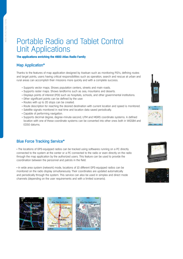# Portable Radio and Tablet Control Unit Applications

#### **The applications enriching the 4900 Atlas Radio Family**

#### Map Application\*

Thanks to the features of map application designed by Aselsan such as monitoring POI's, defining routes and target points, users having critical responsibilities such as operation, search and rescue at urban and rural areas can accomplish their missions more quickly and with a complete success.

- Supports vector maps. Shows population centers, streets and main roads.
- Supports raster maps. Shows landforms such as sea, mountains and deserts.
- • Displays points of interest (POI) such as hospitals, schools, and other governmental institutions.
- Other significant points can be defined by the user.
- Routes with up to 20 stops can be created.
- • Route description for reaching the desired destination with current location and speed is monitored.
- Satellite signals monitored in real time and location data saved periodically.
- • Capable of performing navigation.
- • Supports decimal degree, degree-minute-second, UTM and MGRS coordinate systems. A defined location with one of these coordinate systems can be converted into other ones both in WGS84 and ED50 datums.

# Blue Force Tracking Service\*

• The locations of GPS-equipped radios can be tracked using softwares running on a PC directly connected to the system at the center or a PC connected to the radio or even directly on the radio through the map application by the authorized users. This feature can be used to provide the coordination between the personnel and patrols in the field.

• In wide area system (network) mode, locations of 10 different GPS-equipped radios can be monitored on the radio display simultaneously. Their coordinates are updated automatically and periodically through the system. This service can also be used in simplex and direct mode channels (depending on the user requirements and with a limited scenario).





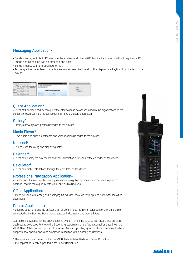# Messaging Application+

- Sends messages to both PC users in the system and other 4900 Mobile Radio users without requiring a PC
- Image and office files can be attached and sent
- • Sends messages in a predefined format.
- • Text may either be entered through a software-based keyboard on the display or a keyboard connected to the device.



### Query Application\*

• Users at their place of duty can query the information in databases used by the organizations at the center without requiring a PC connection thanks to the query application.

#### Gallery\*

• Displays drawings and photos uploaded to the devices.

#### Music Player\*

• Plays audio files such as anthems and voice records uploaded to the devices.

#### Notepad\*

• Can be used for taking and displaying notes.

#### Calendar\*

• Users can display the day, month and year information by means of the calendar on the device.

#### Calculator\*

• Users can make calculations through the calculator on the device.

#### Professional Navigation Application+

• In addition to the map application, a professional navigation application can be used to perform address search more quickly with visual and audio directives.

#### Office Application+

• It can be used for creating and displaying txt, pdf, doc, docx, xls, xlsx, ppt and pptx extended office documents.

#### Printer Application+

• It can be used for taking the printout of an office or image file in the Tablet Control Unit via a printer connected to the Docking Station. It supports both dot-matrix and laser printers.

Applications developed for the Linux operating system run on the 4900 Atlas Portable Radios, while applications developed for the Android operating system run on the Tablet Control Unit used with the 4900 Atlas Mobile Radios. The use of Linux and Android operating systems offers a framework which supports new applications to be developed in addition to the existing applications.

- \* The application can be run both in the 4900 Atlas Portable Radio and Tablet Control Unit.
- + The application is only supported in the Tablet Control Unit